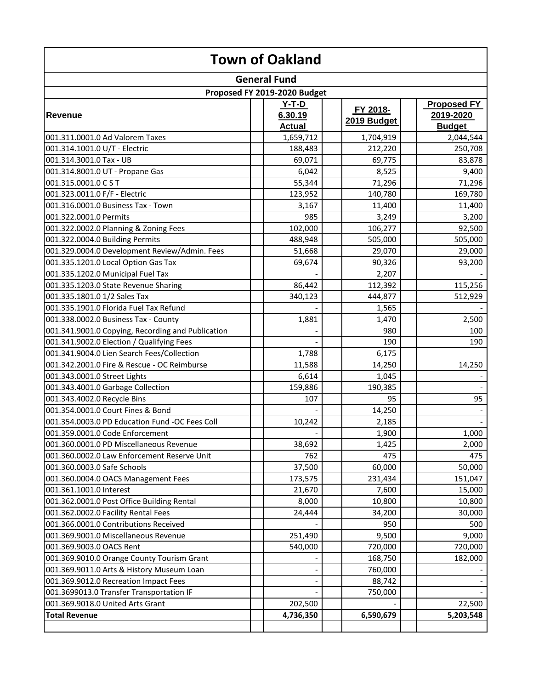| <b>Town of Oakland</b>                            |  |                                     |  |                         |  |                                                  |
|---------------------------------------------------|--|-------------------------------------|--|-------------------------|--|--------------------------------------------------|
|                                                   |  | <b>General Fund</b>                 |  |                         |  |                                                  |
|                                                   |  | Proposed FY 2019-2020 Budget        |  |                         |  |                                                  |
| <b>Revenue</b>                                    |  | $Y-T-D$<br>6.30.19<br><b>Actual</b> |  | FY 2018-<br>2019 Budget |  | <b>Proposed FY</b><br>2019-2020<br><b>Budget</b> |
| 001.311.0001.0 Ad Valorem Taxes                   |  | 1,659,712                           |  | 1,704,919               |  | 2,044,544                                        |
| 001.314.1001.0 U/T - Electric                     |  | 188,483                             |  | 212,220                 |  | 250,708                                          |
| 001.314.3001.0 Tax - UB                           |  | 69,071                              |  | 69,775                  |  | 83,878                                           |
| 001.314.8001.0 UT - Propane Gas                   |  | 6,042                               |  | 8,525                   |  | 9,400                                            |
| 001.315.0001.0 CST                                |  | 55,344                              |  | 71,296                  |  | 71,296                                           |
| 001.323.0011.0 F/F - Electric                     |  | 123,952                             |  | 140,780                 |  | 169,780                                          |
| 001.316.0001.0 Business Tax - Town                |  | 3,167                               |  | 11,400                  |  | 11,400                                           |
| 001.322.0001.0 Permits                            |  | 985                                 |  | 3,249                   |  | 3,200                                            |
| 001.322.0002.0 Planning & Zoning Fees             |  | 102,000                             |  | 106,277                 |  | 92,500                                           |
| 001.322.0004.0 Building Permits                   |  | 488,948                             |  | 505,000                 |  | 505,000                                          |
| 001.329.0004.0 Development Review/Admin. Fees     |  | 51,668                              |  | 29,070                  |  | 29,000                                           |
| 001.335.1201.0 Local Option Gas Tax               |  | 69,674                              |  | 90,326                  |  | 93,200                                           |
| 001.335.1202.0 Municipal Fuel Tax                 |  |                                     |  | 2,207                   |  |                                                  |
| 001.335.1203.0 State Revenue Sharing              |  | 86,442                              |  | 112,392                 |  | 115,256                                          |
| 001.335.1801.0 1/2 Sales Tax                      |  | 340,123                             |  | 444,877                 |  | 512,929                                          |
| 001.335.1901.0 Florida Fuel Tax Refund            |  |                                     |  | 1,565                   |  |                                                  |
| 001.338.0002.0 Business Tax - County              |  | 1,881                               |  | 1,470                   |  | 2,500                                            |
| 001.341.9001.0 Copying, Recording and Publication |  |                                     |  | 980                     |  | 100                                              |
| 001.341.9002.0 Election / Qualifying Fees         |  |                                     |  | 190                     |  | 190                                              |
| 001.341.9004.0 Lien Search Fees/Collection        |  | 1,788                               |  | 6,175                   |  |                                                  |
| 001.342.2001.0 Fire & Rescue - OC Reimburse       |  | 11,588                              |  | 14,250                  |  | 14,250                                           |
| 001.343.0001.0 Street Lights                      |  | 6,614                               |  | 1,045                   |  |                                                  |
| 001.343.4001.0 Garbage Collection                 |  | 159,886                             |  | 190,385                 |  |                                                  |
| 001.343.4002.0 Recycle Bins                       |  | 107                                 |  | 95                      |  | 95                                               |
| 001.354.0001.0 Court Fines & Bond                 |  |                                     |  | 14,250                  |  |                                                  |
| 001.354.0003.0 PD Education Fund -OC Fees Coll    |  | 10,242                              |  | 2,185                   |  |                                                  |
| 001.359.0001.0 Code Enforcement                   |  |                                     |  | 1,900                   |  | 1,000                                            |
| 001.360.0001.0 PD Miscellaneous Revenue           |  | 38,692                              |  | 1,425                   |  | 2,000                                            |
| 001.360.0002.0 Law Enforcement Reserve Unit       |  | 762                                 |  | 475                     |  | 475                                              |
| 001.360.0003.0 Safe Schools                       |  | 37,500                              |  | 60,000                  |  | 50,000                                           |
| 001.360.0004.0 OACS Management Fees               |  | 173,575                             |  | 231,434                 |  | 151,047                                          |
| 001.361.1001.0 Interest                           |  | 21,670                              |  | 7,600                   |  | 15,000                                           |
| 001.362.0001.0 Post Office Building Rental        |  | 8,000                               |  | 10,800                  |  | 10,800                                           |
| 001.362.0002.0 Facility Rental Fees               |  | 24,444                              |  | 34,200                  |  | 30,000                                           |
| 001.366.0001.0 Contributions Received             |  |                                     |  | 950                     |  | 500                                              |
| 001.369.9001.0 Miscellaneous Revenue              |  | 251,490                             |  | 9,500                   |  | 9,000                                            |
| 001.369.9003.0 OACS Rent                          |  | 540,000                             |  | 720,000                 |  | 720,000                                          |
| 001.369.9010.0 Orange County Tourism Grant        |  |                                     |  | 168,750                 |  | 182,000                                          |
| 001.369.9011.0 Arts & History Museum Loan         |  |                                     |  | 760,000                 |  |                                                  |
| 001.369.9012.0 Recreation Impact Fees             |  |                                     |  | 88,742                  |  |                                                  |
| 001.3699013.0 Transfer Transportation IF          |  |                                     |  | 750,000                 |  |                                                  |
| 001.369.9018.0 United Arts Grant                  |  | 202,500                             |  |                         |  | 22,500                                           |
| <b>Total Revenue</b>                              |  | 4,736,350                           |  | 6,590,679               |  | 5,203,548                                        |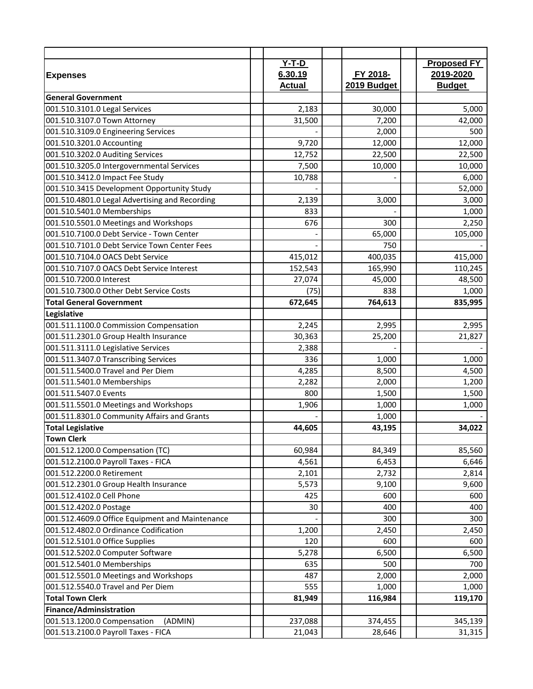|                                                 | $Y-T-D$       |             | <b>Proposed FY</b> |
|-------------------------------------------------|---------------|-------------|--------------------|
| <b>Expenses</b>                                 | 6.30.19       | FY 2018-    | 2019-2020          |
|                                                 | <b>Actual</b> | 2019 Budget | <b>Budget</b>      |
| <b>General Government</b>                       |               |             |                    |
| 001.510.3101.0 Legal Services                   | 2,183         | 30,000      | 5,000              |
| 001.510.3107.0 Town Attorney                    | 31,500        | 7,200       | 42,000             |
| 001.510.3109.0 Engineering Services             |               | 2,000       | 500                |
| 001.510.3201.0 Accounting                       | 9,720         | 12,000      | 12,000             |
| 001.510.3202.0 Auditing Services                | 12,752        | 22,500      | 22,500             |
| 001.510.3205.0 Intergovernmental Services       | 7,500         | 10,000      | 10,000             |
| 001.510.3412.0 Impact Fee Study                 | 10,788        |             | 6,000              |
| 001.510.3415 Development Opportunity Study      |               |             | 52,000             |
| 001.510.4801.0 Legal Advertising and Recording  | 2,139         | 3,000       | 3,000              |
| 001.510.5401.0 Memberships                      | 833           |             | 1,000              |
| 001.510.5501.0 Meetings and Workshops           | 676           | 300         | 2,250              |
| 001.510.7100.0 Debt Service - Town Center       |               | 65,000      | 105,000            |
| 001.510.7101.0 Debt Service Town Center Fees    |               | 750         |                    |
| 001.510.7104.0 OACS Debt Service                | 415,012       | 400,035     | 415,000            |
| 001.510.7107.0 OACS Debt Service Interest       | 152,543       | 165,990     | 110,245            |
| 001.510.7200.0 Interest                         | 27,074        | 45,000      | 48,500             |
| 001.510.7300.0 Other Debt Service Costs         | (75)          | 838         | 1,000              |
| <b>Total General Government</b>                 | 672,645       | 764,613     | 835,995            |
| Legislative                                     |               |             |                    |
| 001.511.1100.0 Commission Compensation          | 2,245         | 2,995       | 2,995              |
| 001.511.2301.0 Group Health Insurance           | 30,363        | 25,200      | 21,827             |
| 001.511.3111.0 Legislative Services             | 2,388         |             |                    |
| 001.511.3407.0 Transcribing Services            | 336           | 1,000       | 1,000              |
| 001.511.5400.0 Travel and Per Diem              | 4,285         | 8,500       | 4,500              |
| 001.511.5401.0 Memberships                      | 2,282         | 2,000       | 1,200              |
| 001.511.5407.0 Events                           | 800           | 1,500       | 1,500              |
| 001.511.5501.0 Meetings and Workshops           | 1,906         | 1,000       | 1,000              |
| 001.511.8301.0 Community Affairs and Grants     |               | 1,000       |                    |
| <b>Total Legislative</b>                        | 44,605        | 43,195      | 34,022             |
| <b>Town Clerk</b>                               |               |             |                    |
| 001.512.1200.0 Compensation (TC)                | 60,984        | 84,349      | 85,560             |
| 001.512.2100.0 Payroll Taxes - FICA             | 4,561         | 6,453       | 6,646              |
| 001.512.2200.0 Retirement                       | 2,101         | 2,732       | 2,814              |
| 001.512.2301.0 Group Health Insurance           | 5,573         | 9,100       | 9,600              |
| 001.512.4102.0 Cell Phone                       | 425           | 600         | 600                |
| 001.512.4202.0 Postage                          | 30            | 400         | 400                |
| 001.512.4609.0 Office Equipment and Maintenance |               | 300         | 300                |
| 001.512.4802.0 Ordinance Codification           | 1,200         | 2,450       | 2,450              |
| 001.512.5101.0 Office Supplies                  | 120           | 600         | 600                |
| 001.512.5202.0 Computer Software                | 5,278         | 6,500       | 6,500              |
| 001.512.5401.0 Memberships                      | 635           | 500         | 700                |
| 001.512.5501.0 Meetings and Workshops           | 487           | 2,000       | 2,000              |
| 001.512.5540.0 Travel and Per Diem              | 555           | 1,000       | 1,000              |
| <b>Total Town Clerk</b>                         | 81,949        | 116,984     | 119,170            |
| Finance/Adminsistration                         |               |             |                    |
| 001.513.1200.0 Compensation<br>(ADMIN)          | 237,088       | 374,455     | 345,139            |
| 001.513.2100.0 Payroll Taxes - FICA             | 21,043        | 28,646      | 31,315             |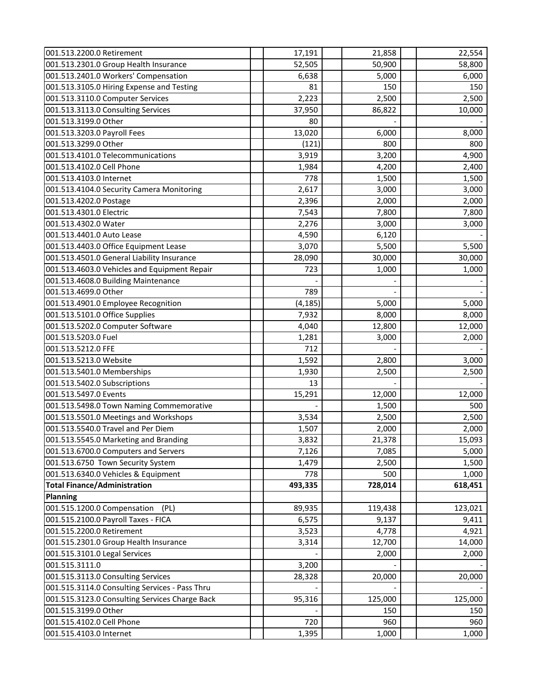| 001.513.2200.0 Retirement                      | 17,191   | 21,858  | 22,554  |
|------------------------------------------------|----------|---------|---------|
| 001.513.2301.0 Group Health Insurance          | 52,505   | 50,900  | 58,800  |
| 001.513.2401.0 Workers' Compensation           | 6,638    | 5,000   | 6,000   |
| 001.513.3105.0 Hiring Expense and Testing      | 81       | 150     | 150     |
| 001.513.3110.0 Computer Services               | 2,223    | 2,500   | 2,500   |
| 001.513.3113.0 Consulting Services             | 37,950   | 86,822  | 10,000  |
| 001.513.3199.0 Other                           | 80       |         |         |
| 001.513.3203.0 Payroll Fees                    | 13,020   | 6,000   | 8,000   |
| 001.513.3299.0 Other                           | (121)    | 800     | 800     |
| 001.513.4101.0 Telecommunications              | 3,919    | 3,200   | 4,900   |
| 001.513.4102.0 Cell Phone                      | 1,984    | 4,200   | 2,400   |
| 001.513.4103.0 Internet                        | 778      | 1,500   | 1,500   |
| 001.513.4104.0 Security Camera Monitoring      | 2,617    | 3,000   | 3,000   |
| 001.513.4202.0 Postage                         | 2,396    | 2,000   | 2,000   |
| 001.513.4301.0 Electric                        | 7,543    | 7,800   | 7,800   |
| 001.513.4302.0 Water                           | 2,276    | 3,000   | 3,000   |
| 001.513.4401.0 Auto Lease                      | 4,590    | 6,120   |         |
| 001.513.4403.0 Office Equipment Lease          | 3,070    | 5,500   | 5,500   |
| 001.513.4501.0 General Liability Insurance     | 28,090   | 30,000  | 30,000  |
| 001.513.4603.0 Vehicles and Equipment Repair   | 723      | 1,000   | 1,000   |
| 001.513.4608.0 Building Maintenance            |          |         |         |
| 001.513.4699.0 Other                           | 789      |         |         |
| 001.513.4901.0 Employee Recognition            | (4, 185) | 5,000   | 5,000   |
| 001.513.5101.0 Office Supplies                 | 7,932    | 8,000   | 8,000   |
| 001.513.5202.0 Computer Software               | 4,040    | 12,800  | 12,000  |
| 001.513.5203.0 Fuel                            | 1,281    | 3,000   | 2,000   |
| 001.513.5212.0 FFE                             | 712      |         |         |
| 001.513.5213.0 Website                         | 1,592    | 2,800   | 3,000   |
| 001.513.5401.0 Memberships                     | 1,930    | 2,500   | 2,500   |
| 001.513.5402.0 Subscriptions                   | 13       |         |         |
| 001.513.5497.0 Events                          | 15,291   | 12,000  | 12,000  |
| 001.513.5498.0 Town Naming Commemorative       |          | 1,500   | 500     |
| 001.513.5501.0 Meetings and Workshops          | 3,534    | 2,500   | 2,500   |
| 001.513.5540.0 Travel and Per Diem             | 1,507    | 2,000   | 2,000   |
| 001.513.5545.0 Marketing and Branding          | 3,832    | 21,378  | 15,093  |
| 001.513.6700.0 Computers and Servers           | 7,126    | 7,085   | 5,000   |
| 001.513.6750 Town Security System              | 1,479    | 2,500   | 1,500   |
| 001.513.6340.0 Vehicles & Equipment            | 778      | 500     | 1,000   |
| <b>Total Finance/Administration</b>            | 493,335  | 728,014 | 618,451 |
| <b>Planning</b>                                |          |         |         |
| 001.515.1200.0 Compensation<br>(PL)            | 89,935   | 119,438 | 123,021 |
| 001.515.2100.0 Payroll Taxes - FICA            | 6,575    | 9,137   | 9,411   |
| 001.515.2200.0 Retirement                      | 3,523    | 4,778   | 4,921   |
| 001.515.2301.0 Group Health Insurance          | 3,314    | 12,700  | 14,000  |
| 001.515.3101.0 Legal Services                  |          | 2,000   | 2,000   |
| 001.515.3111.0                                 | 3,200    |         |         |
| 001.515.3113.0 Consulting Services             | 28,328   | 20,000  | 20,000  |
| 001.515.3114.0 Consulting Services - Pass Thru |          |         |         |
| 001.515.3123.0 Consulting Services Charge Back | 95,316   | 125,000 | 125,000 |
| 001.515.3199.0 Other                           |          | 150     | 150     |
| 001.515.4102.0 Cell Phone                      | 720      | 960     | 960     |
| 001.515.4103.0 Internet                        | 1,395    | 1,000   | 1,000   |
|                                                |          |         |         |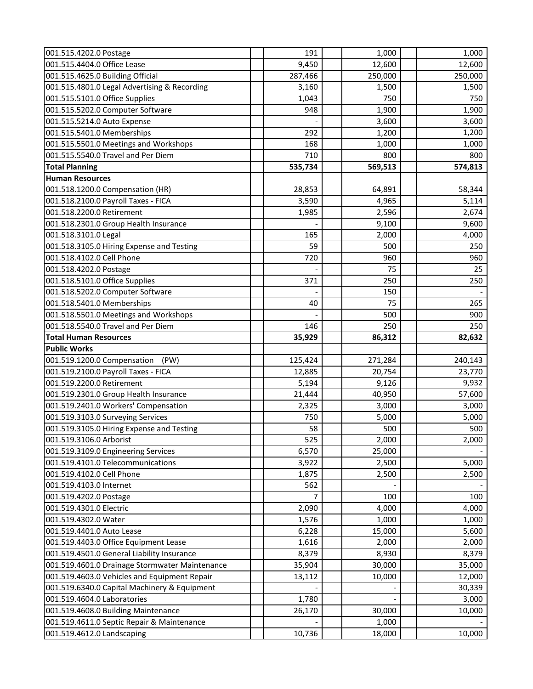| 001.515.4404.0 Office Lease<br>9,450<br>12,600<br>001.515.4625.0 Building Official<br>250,000<br>287,466<br>001.515.4801.0 Legal Advertising & Recording<br>3,160<br>1,500<br>001.515.5101.0 Office Supplies<br>1,043<br>750 | 12,600<br>250,000<br>1,500<br>750<br>1,900<br>3,600 |
|------------------------------------------------------------------------------------------------------------------------------------------------------------------------------------------------------------------------------|-----------------------------------------------------|
|                                                                                                                                                                                                                              |                                                     |
|                                                                                                                                                                                                                              |                                                     |
|                                                                                                                                                                                                                              |                                                     |
|                                                                                                                                                                                                                              |                                                     |
| 001.515.5202.0 Computer Software<br>948<br>1,900                                                                                                                                                                             |                                                     |
| 001.515.5214.0 Auto Expense<br>3,600                                                                                                                                                                                         |                                                     |
| 001.515.5401.0 Memberships<br>292<br>1,200                                                                                                                                                                                   | 1,200                                               |
| 001.515.5501.0 Meetings and Workshops<br>168<br>1,000                                                                                                                                                                        | 1,000                                               |
| 001.515.5540.0 Travel and Per Diem<br>710<br>800                                                                                                                                                                             | 800                                                 |
| 569,513<br><b>Total Planning</b><br>535,734                                                                                                                                                                                  | 574,813                                             |
| <b>Human Resources</b>                                                                                                                                                                                                       |                                                     |
| 001.518.1200.0 Compensation (HR)<br>28,853<br>64,891                                                                                                                                                                         | 58,344                                              |
| 001.518.2100.0 Payroll Taxes - FICA<br>3,590<br>4,965                                                                                                                                                                        | 5,114                                               |
| 001.518.2200.0 Retirement<br>1,985<br>2,596                                                                                                                                                                                  | 2,674                                               |
| 001.518.2301.0 Group Health Insurance<br>9,100                                                                                                                                                                               | 9,600                                               |
| 165<br>001.518.3101.0 Legal<br>2,000                                                                                                                                                                                         | 4,000                                               |
| 001.518.3105.0 Hiring Expense and Testing<br>59<br>500                                                                                                                                                                       | 250                                                 |
| 001.518.4102.0 Cell Phone<br>720<br>960                                                                                                                                                                                      | 960                                                 |
| 001.518.4202.0 Postage<br>75                                                                                                                                                                                                 | 25                                                  |
| 001.518.5101.0 Office Supplies<br>371<br>250                                                                                                                                                                                 | 250                                                 |
| 001.518.5202.0 Computer Software<br>150                                                                                                                                                                                      |                                                     |
| 001.518.5401.0 Memberships<br>40<br>75                                                                                                                                                                                       | 265                                                 |
| 001.518.5501.0 Meetings and Workshops<br>500                                                                                                                                                                                 | 900                                                 |
| 001.518.5540.0 Travel and Per Diem<br>146<br>250                                                                                                                                                                             | 250                                                 |
| <b>Total Human Resources</b><br>35,929<br>86,312                                                                                                                                                                             | 82,632                                              |
| <b>Public Works</b>                                                                                                                                                                                                          |                                                     |
| 001.519.1200.0 Compensation<br>125,424<br>271,284<br>(PW)                                                                                                                                                                    | 240,143                                             |
| 001.519.2100.0 Payroll Taxes - FICA<br>12,885<br>20,754                                                                                                                                                                      | 23,770                                              |
| 001.519.2200.0 Retirement<br>5,194<br>9,126                                                                                                                                                                                  | 9,932                                               |
| 001.519.2301.0 Group Health Insurance<br>21,444<br>40,950                                                                                                                                                                    | 57,600                                              |
| 001.519.2401.0 Workers' Compensation<br>2,325<br>3,000                                                                                                                                                                       | 3,000                                               |
| 001.519.3103.0 Surveying Services<br>750<br>5,000                                                                                                                                                                            | 5,000                                               |
| 001.519.3105.0 Hiring Expense and Testing<br>58<br>500                                                                                                                                                                       | 500                                                 |
| 001.519.3106.0 Arborist<br>525<br>2,000                                                                                                                                                                                      | 2,000                                               |
| 001.519.3109.0 Engineering Services<br>6,570<br>25,000                                                                                                                                                                       |                                                     |
| 001.519.4101.0 Telecommunications<br>3,922<br>2,500                                                                                                                                                                          | 5,000                                               |
| 001.519.4102.0 Cell Phone<br>1,875<br>2,500                                                                                                                                                                                  | 2,500                                               |
| 562<br>001.519.4103.0 Internet                                                                                                                                                                                               |                                                     |
| 001.519.4202.0 Postage<br>100<br>7                                                                                                                                                                                           | 100                                                 |
| 001.519.4301.0 Electric<br>2,090<br>4,000                                                                                                                                                                                    | 4,000                                               |
| 001.519.4302.0 Water<br>1,576<br>1,000                                                                                                                                                                                       | 1,000                                               |
| 001.519.4401.0 Auto Lease<br>15,000<br>6,228                                                                                                                                                                                 | 5,600                                               |
| 001.519.4403.0 Office Equipment Lease<br>1,616<br>2,000                                                                                                                                                                      | 2,000                                               |
| 001.519.4501.0 General Liability Insurance<br>8,379<br>8,930                                                                                                                                                                 | 8,379                                               |
| 001.519.4601.0 Drainage Stormwater Maintenance<br>35,904<br>30,000                                                                                                                                                           | 35,000                                              |
| 001.519.4603.0 Vehicles and Equipment Repair<br>13,112<br>10,000                                                                                                                                                             | 12,000                                              |
| 001.519.6340.0 Capital Machinery & Equipment                                                                                                                                                                                 | 30,339                                              |
| 001.519.4604.0 Laboratories<br>1,780                                                                                                                                                                                         | 3,000                                               |
| 001.519.4608.0 Building Maintenance<br>26,170<br>30,000                                                                                                                                                                      | 10,000                                              |
| 001.519.4611.0 Septic Repair & Maintenance<br>1,000                                                                                                                                                                          |                                                     |
| 10,736<br>001.519.4612.0 Landscaping<br>18,000                                                                                                                                                                               | 10,000                                              |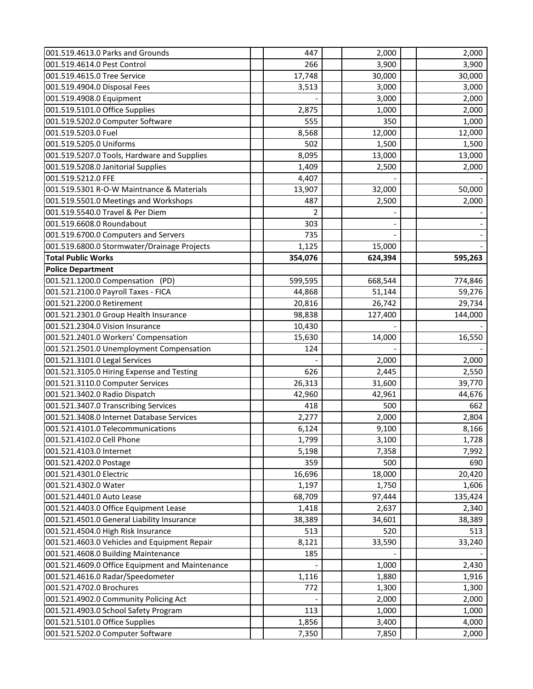| 001.519.4613.0 Parks and Grounds                | 447     | 2,000   | 2,000   |
|-------------------------------------------------|---------|---------|---------|
| 001.519.4614.0 Pest Control                     | 266     | 3,900   | 3,900   |
| 001.519.4615.0 Tree Service                     | 17,748  | 30,000  | 30,000  |
| 001.519.4904.0 Disposal Fees                    | 3,513   | 3,000   | 3,000   |
| 001.519.4908.0 Equipment                        |         | 3,000   | 2,000   |
| 001.519.5101.0 Office Supplies                  | 2,875   | 1,000   | 2,000   |
| 001.519.5202.0 Computer Software                | 555     | 350     | 1,000   |
| 001.519.5203.0 Fuel                             | 8,568   | 12,000  | 12,000  |
| 001.519.5205.0 Uniforms                         | 502     | 1,500   | 1,500   |
| 001.519.5207.0 Tools, Hardware and Supplies     | 8,095   | 13,000  | 13,000  |
| 001.519.5208.0 Janitorial Supplies              | 1,409   | 2,500   | 2,000   |
| 001.519.5212.0 FFE                              | 4,407   |         |         |
| 001.519.5301 R-O-W Maintnance & Materials       | 13,907  | 32,000  | 50,000  |
| 001.519.5501.0 Meetings and Workshops           | 487     | 2,500   | 2,000   |
| 001.519.5540.0 Travel & Per Diem                | 2       |         |         |
| 001.519.6608.0 Roundabout                       | 303     |         |         |
| 001.519.6700.0 Computers and Servers            | 735     |         |         |
| 001.519.6800.0 Stormwater/Drainage Projects     | 1,125   | 15,000  |         |
| <b>Total Public Works</b>                       | 354,076 | 624,394 | 595,263 |
| <b>Police Department</b>                        |         |         |         |
| 001.521.1200.0 Compensation (PD)                | 599,595 | 668,544 | 774,846 |
| 001.521.2100.0 Payroll Taxes - FICA             | 44,868  | 51,144  | 59,276  |
| 001.521.2200.0 Retirement                       | 20,816  | 26,742  | 29,734  |
| 001.521.2301.0 Group Health Insurance           | 98,838  | 127,400 | 144,000 |
| 001.521.2304.0 Vision Insurance                 | 10,430  |         |         |
| 001.521.2401.0 Workers' Compensation            | 15,630  | 14,000  | 16,550  |
| 001.521.2501.0 Unemployment Compensation        | 124     |         |         |
| 001.521.3101.0 Legal Services                   |         | 2,000   | 2,000   |
| 001.521.3105.0 Hiring Expense and Testing       | 626     | 2,445   | 2,550   |
| 001.521.3110.0 Computer Services                | 26,313  | 31,600  | 39,770  |
| 001.521.3402.0 Radio Dispatch                   | 42,960  | 42,961  | 44,676  |
| 001.521.3407.0 Transcribing Services            | 418     | 500     | 662     |
| 001.521.3408.0 Internet Database Services       | 2,277   | 2,000   | 2,804   |
| 001.521.4101.0 Telecommunications               | 6,124   | 9,100   | 8,166   |
| 001.521.4102.0 Cell Phone                       | 1,799   | 3,100   | 1,728   |
| 001.521.4103.0 Internet                         | 5,198   | 7,358   | 7,992   |
| 001.521.4202.0 Postage                          | 359     | 500     | 690     |
| 001.521.4301.0 Electric                         | 16,696  | 18,000  | 20,420  |
| 001.521.4302.0 Water                            | 1,197   | 1,750   | 1,606   |
| 001.521.4401.0 Auto Lease                       | 68,709  | 97,444  | 135,424 |
| 001.521.4403.0 Office Equipment Lease           | 1,418   | 2,637   | 2,340   |
| 001.521.4501.0 General Liability Insurance      | 38,389  | 34,601  | 38,389  |
| 001.521.4504.0 High Risk Insurance              | 513     | 520     | 513     |
| 001.521.4603.0 Vehicles and Equipment Repair    | 8,121   | 33,590  | 33,240  |
| 001.521.4608.0 Building Maintenance             | 185     |         |         |
| 001.521.4609.0 Office Equipment and Maintenance |         | 1,000   | 2,430   |
| 001.521.4616.0 Radar/Speedometer                | 1,116   | 1,880   | 1,916   |
| 001.521.4702.0 Brochures                        | 772     | 1,300   | 1,300   |
| 001.521.4902.0 Community Policing Act           |         | 2,000   | 2,000   |
| 001.521.4903.0 School Safety Program            | 113     | 1,000   | 1,000   |
| 001.521.5101.0 Office Supplies                  | 1,856   | 3,400   | 4,000   |
| 001.521.5202.0 Computer Software                | 7,350   | 7,850   | 2,000   |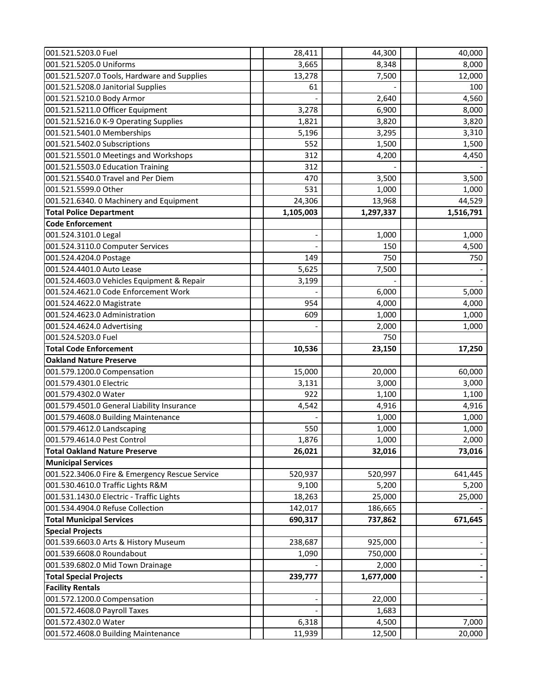| 001.521.5203.0 Fuel                                    | 28,411    | 44,300         | 40,000         |
|--------------------------------------------------------|-----------|----------------|----------------|
| 001.521.5205.0 Uniforms                                | 3,665     | 8,348          | 8,000          |
| 001.521.5207.0 Tools, Hardware and Supplies            | 13,278    | 7,500          | 12,000         |
| 001.521.5208.0 Janitorial Supplies                     | 61        |                | 100            |
| 001.521.5210.0 Body Armor                              |           | 2,640          | 4,560          |
| 001.521.5211.0 Officer Equipment                       | 3,278     | 6,900          | 8,000          |
| 001.521.5216.0 K-9 Operating Supplies                  | 1,821     | 3,820          | 3,820          |
| 001.521.5401.0 Memberships                             | 5,196     | 3,295          | 3,310          |
| 001.521.5402.0 Subscriptions                           | 552       | 1,500          | 1,500          |
| 001.521.5501.0 Meetings and Workshops                  | 312       | 4,200          | 4,450          |
| 001.521.5503.0 Education Training                      | 312       |                |                |
| 001.521.5540.0 Travel and Per Diem                     | 470       | 3,500          | 3,500          |
| 001.521.5599.0 Other                                   | 531       | 1,000          | 1,000          |
| 001.521.6340. 0 Machinery and Equipment                | 24,306    | 13,968         | 44,529         |
| <b>Total Police Department</b>                         | 1,105,003 | 1,297,337      | 1,516,791      |
| <b>Code Enforcement</b>                                |           |                |                |
| 001.524.3101.0 Legal                                   |           | 1,000          | 1,000          |
| 001.524.3110.0 Computer Services                       |           | 150            | 4,500          |
| 001.524.4204.0 Postage                                 | 149       | 750            | 750            |
| 001.524.4401.0 Auto Lease                              | 5,625     | 7,500          |                |
| 001.524.4603.0 Vehicles Equipment & Repair             | 3,199     |                |                |
| 001.524.4621.0 Code Enforcement Work                   |           | 6,000          | 5,000          |
| 001.524.4622.0 Magistrate                              | 954       | 4,000          | 4,000          |
| 001.524.4623.0 Administration                          | 609       | 1,000          | 1,000          |
| 001.524.4624.0 Advertising                             |           | 2,000          | 1,000          |
|                                                        |           | 750            |                |
| 001.524.5203.0 Fuel                                    |           |                |                |
| <b>Total Code Enforcement</b>                          |           |                |                |
| <b>Oakland Nature Preserve</b>                         | 10,536    | 23,150         | 17,250         |
|                                                        | 15,000    | 20,000         | 60,000         |
| 001.579.1200.0 Compensation<br>001.579.4301.0 Electric | 3,131     | 3,000          | 3,000          |
| 001.579.4302.0 Water                                   | 922       |                |                |
| 001.579.4501.0 General Liability Insurance             | 4,542     | 1,100<br>4,916 | 1,100<br>4,916 |
| 001.579.4608.0 Building Maintenance                    |           | 1,000          | 1,000          |
| 001.579.4612.0 Landscaping                             | 550       | 1,000          | 1,000          |
| 001.579.4614.0 Pest Control                            | 1,876     | 1,000          | 2,000          |
| <b>Total Oakland Nature Preserve</b>                   | 26,021    | 32,016         | 73,016         |
| <b>Municipal Services</b>                              |           |                |                |
| 001.522.3406.0 Fire & Emergency Rescue Service         | 520,937   | 520,997        | 641,445        |
| 001.530.4610.0 Traffic Lights R&M                      | 9,100     | 5,200          | 5,200          |
| 001.531.1430.0 Electric - Traffic Lights               | 18,263    | 25,000         | 25,000         |
| 001.534.4904.0 Refuse Collection                       | 142,017   | 186,665        |                |
| <b>Total Municipal Services</b>                        | 690,317   | 737,862        | 671,645        |
| <b>Special Projects</b>                                |           |                |                |
| 001.539.6603.0 Arts & History Museum                   | 238,687   | 925,000        |                |
| 001.539.6608.0 Roundabout                              | 1,090     | 750,000        |                |
| 001.539.6802.0 Mid Town Drainage                       |           | 2,000          |                |
| <b>Total Special Projects</b>                          | 239,777   | 1,677,000      |                |
| <b>Facility Rentals</b>                                |           |                |                |
| 001.572.1200.0 Compensation                            |           | 22,000         |                |
| 001.572.4608.0 Payroll Taxes                           |           | 1,683          |                |
| 001.572.4302.0 Water                                   | 6,318     | 4,500          | 7,000          |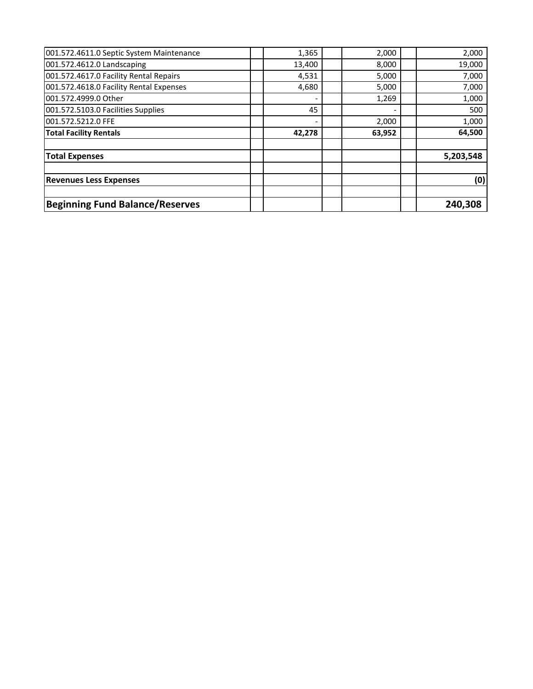| <b>Beginning Fund Balance/Reserves</b>   |        |        | 240,308   |
|------------------------------------------|--------|--------|-----------|
| <b>Revenues Less Expenses</b>            |        |        | (0)       |
| <b>Total Expenses</b>                    |        |        | 5,203,548 |
| <b>Total Facility Rentals</b>            | 42,278 | 63,952 | 64,500    |
| 001.572.5212.0 FFE                       |        | 2,000  | 1,000     |
| 001.572.5103.0 Facilities Supplies       | 45     |        | 500       |
| 001.572.4999.0 Other                     |        | 1,269  | 1,000     |
| 001.572.4618.0 Facility Rental Expenses  | 4,680  | 5,000  | 7,000     |
| 001.572.4617.0 Facility Rental Repairs   | 4,531  | 5,000  | 7,000     |
| 001.572.4612.0 Landscaping               | 13,400 | 8,000  | 19,000    |
| 001.572.4611.0 Septic System Maintenance | 1,365  | 2,000  | 2,000     |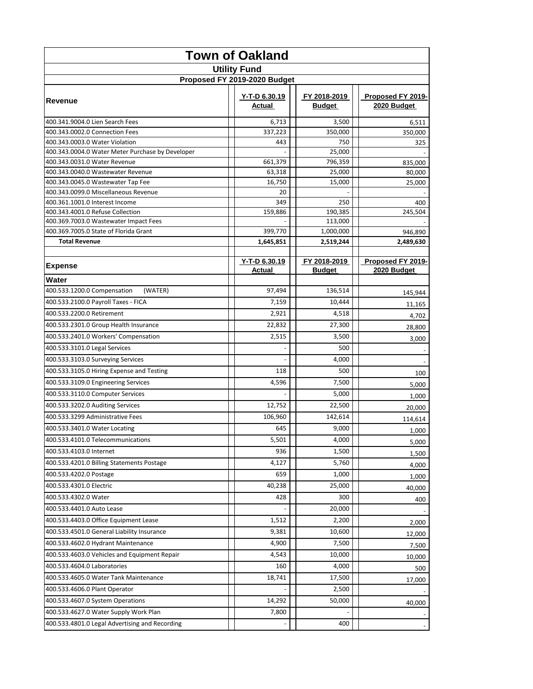| <b>Town of Oakland</b>                                                    |  |                              |  |                        |                                  |
|---------------------------------------------------------------------------|--|------------------------------|--|------------------------|----------------------------------|
|                                                                           |  | <b>Utility Fund</b>          |  |                        |                                  |
|                                                                           |  | Proposed FY 2019-2020 Budget |  |                        |                                  |
| <b>Revenue</b>                                                            |  | Y-T-D 6.30.19<br>Actual      |  | FY 2018-2019<br>Budget | Proposed FY 2019-<br>2020 Budget |
| 400.341.9004.0 Lien Search Fees                                           |  | 6,713                        |  | 3,500                  | 6,511                            |
| 400.343.0002.0 Connection Fees                                            |  | 337,223                      |  | 350,000                | 350,000                          |
| 400.343.0003.0 Water Violation                                            |  | 443                          |  | 750                    | 325                              |
| 400.343.0004.0 Water Meter Purchase by Developer                          |  |                              |  | 25,000                 |                                  |
| 400.343.0031.0 Water Revenue                                              |  | 661,379                      |  | 796,359                | 835,000                          |
| 400.343.0040.0 Wastewater Revenue                                         |  | 63,318                       |  | 25,000                 | 80,000                           |
| 400.343.0045.0 Wastewater Tap Fee                                         |  | 16,750                       |  | 15,000                 | 25,000                           |
| 400.343.0099.0 Miscellaneous Revenue                                      |  | 20                           |  |                        |                                  |
| 400.361.1001.0 Interest Income                                            |  | 349                          |  | 250                    | 400                              |
| 400.343.4001.0 Refuse Collection<br>400.369.7003.0 Wastewater Impact Fees |  | 159,886                      |  | 190,385                | 245,504                          |
| 400.369.7005.0 State of Florida Grant                                     |  | 399,770                      |  | 113,000<br>1,000,000   | 946,890                          |
| <b>Total Revenue</b>                                                      |  | 1,645,851                    |  | 2,519,244              | 2,489,630                        |
|                                                                           |  |                              |  |                        |                                  |
|                                                                           |  | Y-T-D 6.30.19                |  | FY 2018-2019           | Proposed FY 2019-                |
| <b>Expense</b>                                                            |  | Actual                       |  | <b>Budget</b>          | 2020 Budget                      |
| Water                                                                     |  |                              |  |                        |                                  |
| 400.533.1200.0 Compensation<br>(WATER)                                    |  | 97,494                       |  | 136,514                | 145,944                          |
| 400.533.2100.0 Payroll Taxes - FICA                                       |  | 7,159                        |  | 10,444                 | 11,165                           |
| 400.533.2200.0 Retirement                                                 |  | 2,921                        |  | 4,518                  | 4,702                            |
| 400.533.2301.0 Group Health Insurance                                     |  | 22,832                       |  | 27,300                 | 28,800                           |
| 400.533.2401.0 Workers' Compensation                                      |  | 2,515                        |  | 3,500                  | 3,000                            |
| 400.533.3101.0 Legal Services                                             |  |                              |  | 500                    |                                  |
| 400.533.3103.0 Surveying Services                                         |  |                              |  | 4,000                  |                                  |
| 400.533.3105.0 Hiring Expense and Testing                                 |  | 118                          |  | 500                    | 100                              |
| 400.533.3109.0 Engineering Services                                       |  | 4,596                        |  | 7,500                  | 5,000                            |
| 400.533.3110.0 Computer Services                                          |  |                              |  | 5,000                  | 1,000                            |
| 400.533.3202.0 Auditing Services                                          |  | 12,752                       |  | 22,500                 |                                  |
| 400.533.3299 Administrative Fees                                          |  | 106,960                      |  | 142,614                | 20,000                           |
| 400.533.3401.0 Water Locating                                             |  | 645                          |  | 9,000                  | 114,614                          |
| 400.533.4101.0 Telecommunications                                         |  | 5,501                        |  | 4,000                  | 1,000                            |
| 400.533.4103.0 Internet                                                   |  | 936                          |  | 1,500                  | 5,000                            |
| 400.533.4201.0 Billing Statements Postage                                 |  | 4,127                        |  | 5,760                  | 1,500                            |
|                                                                           |  | 659                          |  |                        | 4,000                            |
| 400.533.4202.0 Postage<br>400.533.4301.0 Electric                         |  | 40,238                       |  | 1,000                  | 1,000                            |
|                                                                           |  | 428                          |  | 25,000<br>300          | 40,000                           |
| 400.533.4302.0 Water                                                      |  |                              |  |                        | 400                              |
| 400.533.4401.0 Auto Lease                                                 |  |                              |  | 20,000                 |                                  |
| 400.533.4403.0 Office Equipment Lease                                     |  | 1,512                        |  | 2,200                  | 2,000                            |
| 400.533.4501.0 General Liability Insurance                                |  | 9,381                        |  | 10,600                 | 12,000                           |
| 400.533.4602.0 Hydrant Maintenance                                        |  | 4,900                        |  | 7,500                  | 7,500                            |
| 400.533.4603.0 Vehicles and Equipment Repair                              |  | 4,543                        |  | 10,000                 | 10,000                           |
| 400.533.4604.0 Laboratories                                               |  | 160                          |  | 4,000                  | 500                              |
| 400.533.4605.0 Water Tank Maintenance                                     |  | 18,741                       |  | 17,500                 | 17,000                           |
| 400.533.4606.0 Plant Operator                                             |  |                              |  | 2,500                  |                                  |
| 400.533.4607.0 System Operations                                          |  | 14,292                       |  | 50,000                 | 40,000                           |
| 400.533.4627.0 Water Supply Work Plan                                     |  | 7,800                        |  |                        |                                  |
| 400.533.4801.0 Legal Advertising and Recording                            |  |                              |  | 400                    |                                  |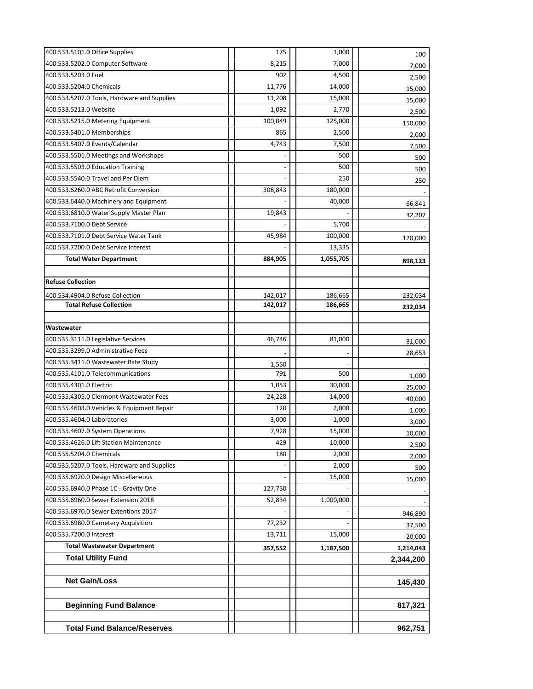| 400.533.5101.0 Office Supplies              | 175     | 1,000     | 100       |
|---------------------------------------------|---------|-----------|-----------|
| 400.533.5202.0 Computer Software            | 8,215   | 7,000     | 7,000     |
| 400.533.5203.0 Fuel                         | 902     | 4,500     | 2,500     |
| 400.533.5204.0 Chemicals                    | 11,776  | 14,000    | 15,000    |
| 400.533.5207.0 Tools, Hardware and Supplies | 11,208  | 15,000    | 15,000    |
| 400.533.5213.0 Website                      | 1,092   | 2,770     | 2,500     |
| 400.533.5215.0 Metering Equipment           | 100,049 | 125,000   | 150,000   |
| 400.533.5401.0 Memberships                  | 865     | 2,500     | 2,000     |
| 400.533.5407.0 Events/Calendar              | 4,743   | 7,500     | 7,500     |
| 400.533.5501.0 Meetings and Workshops       |         | 500       | 500       |
| 400.533.5503.0 Education Training           |         | 500       | 500       |
| 400.533.5540.0 Travel and Per Diem          |         | 250       | 250       |
| 400.533.6260.0 ABC Retrofit Conversion      | 308,843 | 180,000   |           |
| 400.533.6440.0 Machinery and Equipment      |         | 40,000    | 66,841    |
| 400.533.6810.0 Water Supply Master Plan     | 19,843  |           | 32,207    |
| 400.533.7100.0 Debt Service                 |         | 5,700     |           |
| 400.533.7101.0 Debt Service Water Tank      | 45,984  | 100,000   | 120,000   |
| 400.533.7200.0 Debt Service Interest        |         | 13,335    |           |
| <b>Total Water Department</b>               | 884,905 | 1,055,705 | 898,123   |
|                                             |         |           |           |
| <b>Refuse Collection</b>                    |         |           |           |
| 400.534.4904.0 Refuse Collection            | 142,017 | 186,665   | 232,034   |
| <b>Total Refuse Collection</b>              | 142,017 | 186,665   | 232,034   |
|                                             |         |           |           |
| Wastewater                                  |         |           |           |
| 400.535.3111.0 Legislative Services         | 46,746  | 81,000    | 81,000    |
| 400.535.3299.0 Administrative Fees          |         |           | 28,653    |
| 400.535.3411.0 Wastewater Rate Study        | 1,550   |           |           |
| 400.535.4101.0 Telecommunications           | 791     | 500       | 1,000     |
| 400.535.4301.0 Electric                     | 1,053   | 30,000    | 25,000    |
| 400.535.4305.0 Clermont Wastewater Fees     | 24,228  | 14,000    | 40,000    |
| 400.535.4603.0 Vehicles & Equipment Repair  | 120     | 2,000     | 1,000     |
| 400.535.4604.0 Laboratories                 | 3,000   | 1,000     | 3,000     |
| 400.535.4607.0 System Operations            | 7,928   | 15,000    | 10,000    |
| 400.535.4626.0 Lift Station Maintenance     | 429     | 10,000    | 2,500     |
| 400.535.5204.0 Chemicals                    | 180     | 2,000     | 2,000     |
| 400.535.5207.0 Tools, Hardware and Supplies |         | 2,000     | 500       |
| 400.535.6920.0 Design Miscellaneous         |         | 15,000    | 15,000    |
| 400.535.6940.0 Phase 1C - Gravity One       | 127,750 |           |           |
| 400.535.6960.0 Sewer Extension 2018         | 52,834  | 1,000,000 |           |
| 400.535.6970.0 Sewer Extentions 2017        |         |           | 946,890   |
| 400.535.6980.0 Cemetery Acquisition         | 77,232  |           | 37,500    |
| 400.535.7200.0 Interest                     | 13,711  | 15,000    | 20,000    |
| <b>Total Wastewater Department</b>          | 357,552 | 1,187,500 | 1,214,043 |
| <b>Total Utility Fund</b>                   |         |           | 2,344,200 |
|                                             |         |           |           |
| <b>Net Gain/Loss</b>                        |         |           | 145,430   |
|                                             |         |           |           |
| <b>Beginning Fund Balance</b>               |         |           | 817,321   |
|                                             |         |           |           |
| <b>Total Fund Balance/Reserves</b>          |         |           | 962,751   |